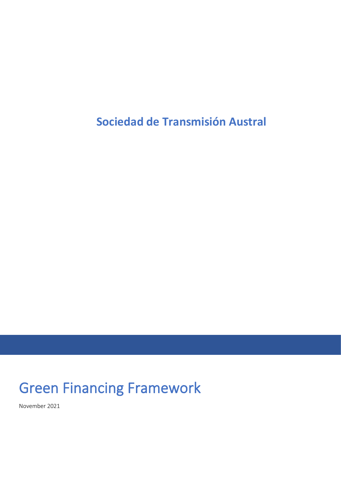<span id="page-0-0"></span>**Sociedad de Transmisión Austral**

# Green Financing Framework

November 2021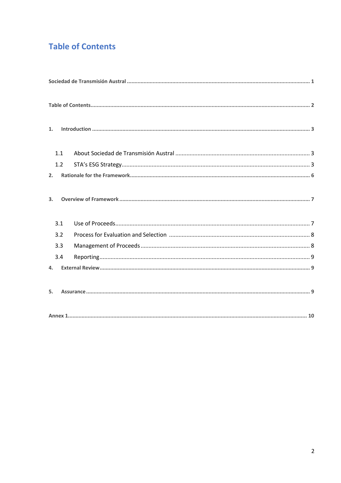# <span id="page-1-0"></span>**Table of Contents**

| 1.             |  |  |  |
|----------------|--|--|--|
| 1.1            |  |  |  |
| 1.2            |  |  |  |
| 2.             |  |  |  |
| 3 <sub>1</sub> |  |  |  |
| 3.1            |  |  |  |
| 3.2            |  |  |  |
| 3.3            |  |  |  |
| 3.4            |  |  |  |
| 4.             |  |  |  |
| 5.             |  |  |  |
|                |  |  |  |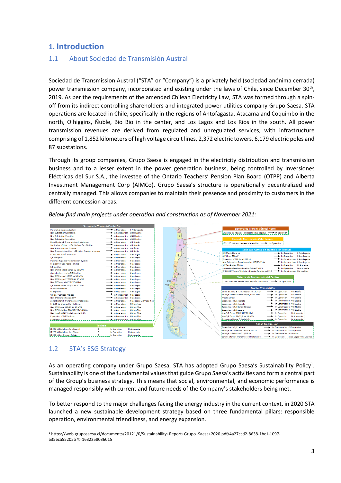# <span id="page-2-0"></span>**1. Introduction**

#### <span id="page-2-1"></span>1.1 About Sociedad de Transmisión Austral

Sociedad de Transmission Austral ("STA" or "Company") is a privately held (sociedad anónima cerrada) power transmission company, incorporated and existing under the laws of Chile, since December 30<sup>th</sup>, 2019. As per the requirements of the amended Chilean Electricity Law, STA was formed through a spinoff from its indirect controlling shareholders and integrated power utilities company Grupo Saesa. STA operations are located in Chile, specifically in the regions of Antofagasta, Atacama and Coquimbo in the north, O'higgins, Ñuble, Bio Bio in the center, and Los Lagos and Los Rios in the south. All power transmission revenues are derived from regulated and unregulated services, with infrastructure comprising of 1,852 kilometers of high voltage circuit lines, 2,372 electric towers, 6,179 electric poles and 87 substations.

Through its group companies, Grupo Saesa is engaged in the electricity distribution and transmission business and to a lesser extent in the power generation business, being controlled by Inversiones Eléctricas del Sur S.A., the investee of the Ontario Teachers' Pension Plan Board (OTPP) and Alberta Investment Management Corp (AIMCo). Grupo Saesa's structure is operationally decentralized and centrally managed. This allows companies to maintain their presence and proximity to customers in the different concession areas.



*Below find main projects under operation and construction as of November 2021:*

### <span id="page-2-2"></span>1.2 STA's ESG Strategy

As an operating company under Grupo Saesa, STA has adopted Grupo Saesa's Sustainability Policy<sup>1</sup>. Sustainability is one of the fundamental values that guide Grupo Saesa's activities and form a central part of the Group's business strategy. This means that social, environmental, and economic performance is managed responsibly with current and future needs of the Company's stakeholders being met.

To better respond to the major challenges facing the energy industry in the current context, in 2020 STA launched a new sustainable development strategy based on three fundamental pillars: responsible operation, environmental friendliness, and energy expansion.

<sup>1</sup> https://web.gruposaesa.cl/documents/20121/0/Sustainability+Report+Grupo+Saesa+2020.pdf/4a27ccd2-8638-1bc1-1097 a35eca55205b?t=1632258036015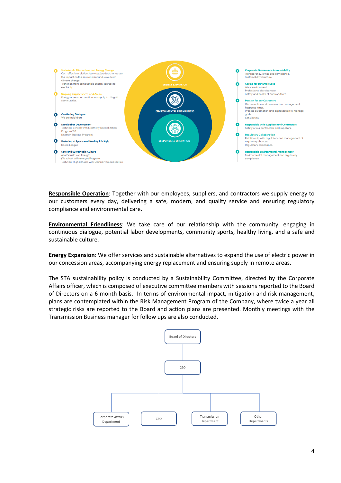

**Responsible Operation**: Together with our employees, suppliers, and contractors we supply energy to our customers every day, delivering a safe, modern, and quality service and ensuring regulatory compliance and environmental care.

**Environmental Friendliness**: We take care of our relationship with the community, engaging in continuous dialogue, potential labor developments, community sports, healthy living, and a safe and sustainable culture.

**Energy Expansion**: We offer services and sustainable alternatives to expand the use of electric power in our concession areas, accompanying energy replacement and ensuring supply in remote areas.

The STA sustainability policy is conducted by a Sustainability Committee, directed by the Corporate Affairs officer, which is composed of executive committee members with sessions reported to the Board of Directors on a 6-month basis. In terms of environmental impact, mitigation and risk management, plans are contemplated within the Risk Management Program of the Company, where twice a year all strategic risks are reported to the Board and action plans are presented. Monthly meetings with the Transmission Business manager for follow ups are also conducted.

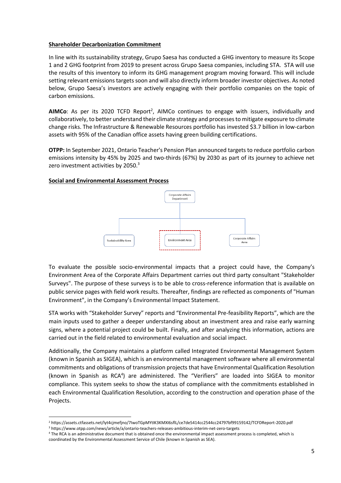#### **Shareholder Decarbonization Commitment**

In line with its sustainability strategy, Grupo Saesa has conducted a GHG inventory to measure its Scope 1 and 2 GHG footprint from 2019 to present across Grupo Saesa companies, including STA. STA will use the results of this inventory to inform its GHG management program moving forward. This will include setting relevant emissions targets soon and will also directly inform broader investor objectives. As noted below, Grupo Saesa's investors are actively engaging with their portfolio companies on the topic of carbon emissions.

AIMCo: As per its 2020 TCFD Report<sup>2</sup>, AIMCo continues to engage with issuers, individually and collaboratively, to better understand their climate strategy and processes to mitigate exposure to climate change risks. The Infrastructure & Renewable Resources portfolio has invested \$3.7 billion in low-carbon assets with 95% of the Canadian office assets having green building certifications.

**OTPP:** In September 2021, Ontario Teacher's Pension Plan announced targets to reduce portfolio carbon emissions intensity by 45% by 2025 and two-thirds (67%) by 2030 as part of its journey to achieve net zero investment activities by 2050.<sup>3</sup>

#### **Social and Environmental Assessment Process**



To evaluate the possible socio-environmental impacts that a project could have, the Company's Environment Area of the Corporate Affairs Department carries out third party consultant "Stakeholder Surveys". The purpose of these surveys is to be able to cross-reference information that is available on public service pages with field work results. Thereafter, findings are reflected as components of "Human Environment", in the Company's Environmental Impact Statement.

STA works with "Stakeholder Survey" reports and "Environmental Pre-feasibility Reports", which are the main inputs used to gather a deeper understanding about an investment area and raise early warning signs, where a potential project could be built. Finally, and after analyzing this information, actions are carried out in the field related to environmental evaluation and social impact.

Additionally, the Company maintains a platform called Integrated Environmental Management System (known in Spanish as SIGEA), which is an environmental management software where all environmental commitments and obligations of transmission projects that have Environmental Qualification Resolution (known in Spanish as RCA<sup>4</sup>) are administered. The "Verifiers" are loaded into SIGEA to monitor compliance. This system seeks to show the status of compliance with the commitments established in each Environmental Qualification Resolution, according to the construction and operation phase of the Projects.

<sup>2</sup> https://assets.ctfassets.net/lyt4cjmefjno/7IwoTGpMYtIK3KMXI6sflL/ce7de5414cc2544cc24797bf99159142/TCFDReport-2020.pdf

<sup>3</sup> https://www.otpp.com/news/article/a/ontario-teachers-releases-ambitious-interim-net-zero-targets

<sup>4</sup> The RCA is an administrative document that is obtained once the environmental impact assessment process is completed, which is coordinated by the Environmental Assessment Service of Chile (known in Spanish as SEA).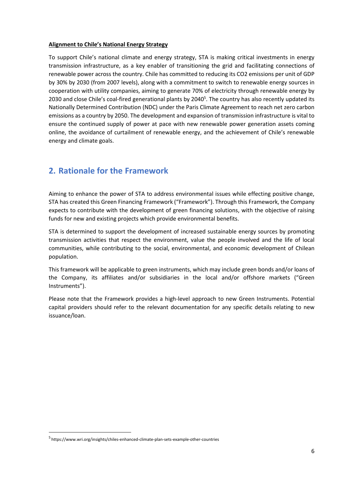#### **Alignment to Chile's National Energy Strategy**

To support Chile's national climate and energy strategy, STA is making critical investments in energy transmission infrastructure, as a key enabler of transitioning the grid and facilitating connections of renewable power across the country. Chile has committed to reducing its CO2 emissions per unit of GDP by 30% by 2030 (from 2007 levels), along with a commitment to switch to renewable energy sources in cooperation with utility companies, aiming to generate 70% of electricity through renewable energy by 2030 and close Chile's coal-fired generational plants by 2040<sup>5</sup>. The country has also recently updated its Nationally Determined Contribution (NDC) under the Paris Climate Agreement to reach net zero carbon emissions as a country by 2050. The development and expansion of transmission infrastructure is vital to ensure the continued supply of power at pace with new renewable power generation assets coming online, the avoidance of curtailment of renewable energy, and the achievement of Chile's renewable energy and climate goals.

# <span id="page-5-0"></span>**2. Rationale for the Framework**

Aiming to enhance the power of STA to address environmental issues while effecting positive change, STA has created this Green Financing Framework ("Framework"). Through this Framework, the Company expects to contribute with the development of green financing solutions, with the objective of raising funds for new and existing projects which provide environmental benefits.

STA is determined to support the development of increased sustainable energy sources by promoting transmission activities that respect the environment, value the people involved and the life of local communities, while contributing to the social, environmental, and economic development of Chilean population.

This framework will be applicable to green instruments, which may include green bonds and/or loans of the Company, its affiliates and/or subsidiaries in the local and/or offshore markets ("Green Instruments").

Please note that the Framework provides a high-level approach to new Green Instruments. Potential capital providers should refer to the relevant documentation for any specific details relating to new issuance/loan.

<sup>5</sup> https://www.wri.org/insights/chiles-enhanced-climate-plan-sets-example-other-countries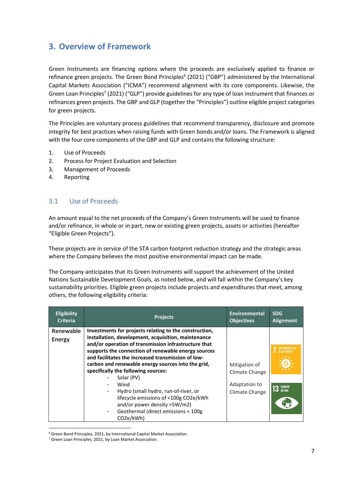# <span id="page-6-0"></span>**3. Overview of Framework**

Green Instruments are financing options where the proceeds are exclusively applied to finance or refinance green projects. The Green Bond Principles<sup>6</sup> (2021) ("GBP") administered by the International Capital Markets Association ("ICMA") recommend alignment with its core components. Likewise, the Green Loan Principles<sup>7</sup> (2021) ("GLP") provide guidelines for any type of loan instrument that finances or refinances green projects. The GBP and GLP (together the "Principles") outline eligible project categories for green projects.

The Principles are voluntary process guidelines that recommend transparency, disclosure and promote integrity for best practices when raising funds with Green bonds and/or loans. The Framework is aligned with the four core components of the GBP and GLP and contains the following structure:

- 1. Use of Proceeds
- 2. Process for Project Evaluation and Selection
- 3. Management of Proceeds
- 4. Reporting

### <span id="page-6-1"></span>3.1 Use of Proceeds

An amount equal to the net proceeds of the Company's Green Instruments will be used to finance and/or refinance, in whole or in part, new or existing green projects, assets or activities (hereafter "Eligible Green Projects").

These projects are in service of the STA carbon footprint reduction strategy and the strategic areas where the Company believes the most positive environmental impact can be made.

The Company anticipates that its Green Instruments will support the achievement of the United Nations Sustainable Development Goals, as noted below, and will fall within the Company's key sustainability priorities. Eligible green projects include projects and expenditures that meet, among others, the following eligibility criteria:

| <b>Eligibility</b>         | <b>Projects</b>                                                                                                                                                                                                                                                                                                                                                                                                                                                                                                                                                                                   | <b>Environmental</b>                                               | <b>SDG</b>               |
|----------------------------|---------------------------------------------------------------------------------------------------------------------------------------------------------------------------------------------------------------------------------------------------------------------------------------------------------------------------------------------------------------------------------------------------------------------------------------------------------------------------------------------------------------------------------------------------------------------------------------------------|--------------------------------------------------------------------|--------------------------|
| <b>Criteria</b>            |                                                                                                                                                                                                                                                                                                                                                                                                                                                                                                                                                                                                   | <b>Objectives</b>                                                  | <b>Alignment</b>         |
| Renewable<br><b>Energy</b> | Investments for projects relating to the construction,<br>installation, development, acquisition, maintenance<br>and/or operation of transmission infrastructure that<br>supports the connection of renewable energy sources<br>and facilitates the increased transmission of low-<br>carbon and renewable energy sources into the grid,<br>specifically the following sources:<br>Solar (PV)<br>Wind<br>۰<br>Hydro (small hydro, run-of-river, or<br>۰<br>lifecycle emissions of <100g CO2e/kWh<br>and/or power density >5W/m2)<br>Geothermal (direct emissions < 100g<br>CO <sub>2</sub> e/kWh) | Mitigation of<br>Climate Change<br>Adaptation to<br>Climate Change | <b>CLIMATE</b><br>ACTION |

<sup>6</sup> [Green Bond Principles, 2021, by International Capital Market Association.](https://www.icmagroup.org/assets/documents/Sustainable-finance/2021-updates/Green-Bond-Principles-June-2021-100621.pdf)

<sup>7</sup> [Green Loan Principles, 2021, by Loan Market Association.](https://www.lma.eu.com/application/files/9716/1304/3740/Green_Loan_Principles_Feb2021_V04.pdf)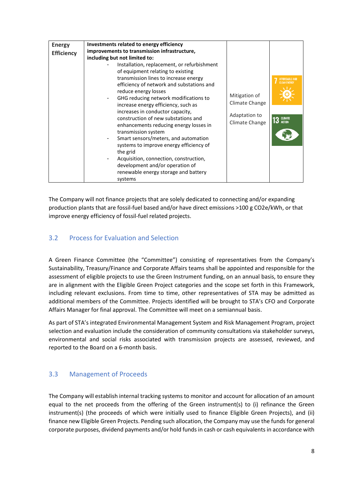| <b>Energy</b><br><b>Efficiency</b> | Investments related to energy efficiency<br>improvements to transmission infrastructure,<br>including but not limited to:<br>Installation, replacement, or refurbishment<br>of equipment relating to existing<br>transmission lines to increase energy<br>efficiency of network and substations and<br>reduce energy losses<br>GHG reducing network modifications to<br>increase energy efficiency, such as<br>increases in conductor capacity,<br>construction of new substations and<br>enhancements reducing energy losses in<br>transmission system<br>Smart sensors/meters, and automation<br>systems to improve energy efficiency of<br>the grid<br>Acquisition, connection, construction,<br>development and/or operation of<br>renewable energy storage and battery<br>systems | Mitigation of<br>Climate Change<br>Adaptation to<br>Climate Change | <b>IFFORDARI F AND</b><br><b>CLIMATE</b><br>13<br><b>ACTION</b> |
|------------------------------------|----------------------------------------------------------------------------------------------------------------------------------------------------------------------------------------------------------------------------------------------------------------------------------------------------------------------------------------------------------------------------------------------------------------------------------------------------------------------------------------------------------------------------------------------------------------------------------------------------------------------------------------------------------------------------------------------------------------------------------------------------------------------------------------|--------------------------------------------------------------------|-----------------------------------------------------------------|
|------------------------------------|----------------------------------------------------------------------------------------------------------------------------------------------------------------------------------------------------------------------------------------------------------------------------------------------------------------------------------------------------------------------------------------------------------------------------------------------------------------------------------------------------------------------------------------------------------------------------------------------------------------------------------------------------------------------------------------------------------------------------------------------------------------------------------------|--------------------------------------------------------------------|-----------------------------------------------------------------|

The Company will not finance projects that are solely dedicated to connecting and/or expanding production plants that are fossil-fuel based and/or have direct emissions >100 g CO2e/kWh, or that improve energy efficiency of fossil-fuel related projects.

### <span id="page-7-0"></span>3.2 Process for Evaluation and Selection

A Green Finance Committee (the "Committee") consisting of representatives from the Company's Sustainability, Treasury/Finance and Corporate Affairs teams shall be appointed and responsible for the assessment of eligible projects to use the Green Instrument funding, on an annual basis, to ensure they are in alignment with the Eligible Green Project categories and the scope set forth in this Framework, including relevant exclusions. From time to time, other representatives of STA may be admitted as additional members of the Committee. Projects identified will be brought to STA's CFO and Corporate Affairs Manager for final approval. The Committee will meet on a semiannual basis.

As part of STA's integrated Environmental Management System and Risk Management Program, project selection and evaluation include the consideration of community consultations via stakeholder surveys, environmental and social risks associated with transmission projects are assessed, reviewed, and reported to the Board on a 6-month basis.

### <span id="page-7-1"></span>3.3 Management of Proceeds

The Company will establish internal tracking systems to monitor and account for allocation of an amount equal to the net proceeds from the offering of the Green instrument(s) to (i) refinance the Green instrument(s) (the proceeds of which were initially used to finance Eligible Green Projects), and (ii) finance new Eligible Green Projects. Pending such allocation, the Company may use the funds for general corporate purposes, dividend payments and/or hold funds in cash or cash equivalents in accordance with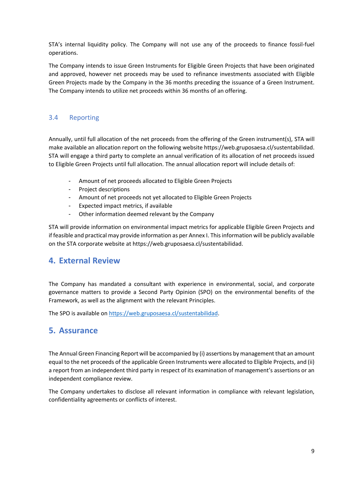STA's internal liquidity policy. The Company will not use any of the proceeds to finance fossil-fuel operations.

The Company intends to issue Green Instruments for Eligible Green Projects that have been originated and approved, however net proceeds may be used to refinance investments associated with Eligible Green Projects made by the Company in the 36 months preceding the issuance of a Green Instrument. The Company intends to utilize net proceeds within 36 months of an offering.

### <span id="page-8-0"></span>3.4 Reporting

Annually, until full allocation of the net proceeds from the offering of the Green instrument(s), STA will make available an allocation report on the following website https://web.gruposaesa.cl/sustentabilidad. STA will engage a third party to complete an annual verification of its allocation of net proceeds issued to Eligible Green Projects until full allocation. The annual allocation report will include details of:

- Amount of net proceeds allocated to Eligible Green Projects
- Project descriptions
- Amount of net proceeds not yet allocated to Eligible Green Projects
- Expected impact metrics, if available
- Other information deemed relevant by the Company

STA will provide information on environmental impact metrics for applicable Eligible Green Projects and if feasible and practical may provide information as per Annex I. This information will be publicly available on the STA corporate website at https://web.gruposaesa.cl/sustentabilidad.

# <span id="page-8-1"></span>**4. External Review**

The Company has mandated a consultant with experience in environmental, social, and corporate governance matters to provide a Second Party Opinion (SPO) on the environmental benefits of the Framework, as well as the alignment with the relevant Principles.

The SPO is available on [https://web.gruposaesa.cl/sustentabilidad.](https://web.gruposaesa.cl/sustentabilidad)

# <span id="page-8-2"></span>**5. Assurance**

The Annual Green Financing Report will be accompanied by (i) assertions by management that an amount equal to the net proceeds of the applicable Green Instruments were allocated to Eligible Projects, and (ii) a report from an independent third party in respect of its examination of management's assertions or an independent compliance review.

The Company undertakes to disclose all relevant information in compliance with relevant legislation, confidentiality agreements or conflicts of interest.